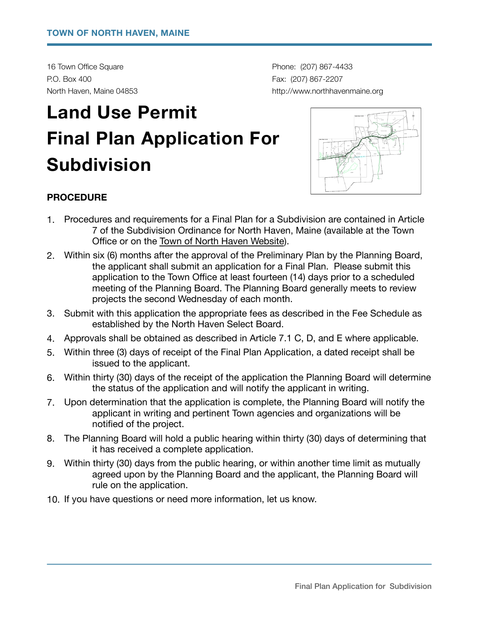16 Town Office Square **by Community 16 Town Office Square** *COT Phone: (207) 867-4433* P.O. Box 400 **Fax: (207) 867-2207** 

North Haven, Maine 04853 *North Haven, Maine 04853 north havenmaine.org northhavenmaine.org* 

# **Land Use Permit Final Plan Application For Subdivision**



### **PROCEDURE**

- 1. Procedures and requirements for a Final Plan for a Subdivision are contained in Article 7 of the Subdivision Ordinance for North Haven, Maine (available at the Town Office or on the [Town of North Haven Website](http://www.northhavenmaine.org/)).
- 2. Within six (6) months after the approval of the Preliminary Plan by the Planning Board, the applicant shall submit an application for a Final Plan. Please submit this application to the Town Office at least fourteen (14) days prior to a scheduled meeting of the Planning Board. The Planning Board generally meets to review projects the second Wednesday of each month.
- 3. Submit with this application the appropriate fees as described in the Fee Schedule as established by the North Haven Select Board.
- 4. Approvals shall be obtained as described in Article 7.1 C, D, and E where applicable.
- 5. Within three (3) days of receipt of the Final Plan Application, a dated receipt shall be issued to the applicant.
- 6. Within thirty (30) days of the receipt of the application the Planning Board will determine the status of the application and will notify the applicant in writing.
- 7. Upon determination that the application is complete, the Planning Board will notify the applicant in writing and pertinent Town agencies and organizations will be notified of the project.
- 8. The Planning Board will hold a public hearing within thirty (30) days of determining that it has received a complete application.
- 9. Within thirty (30) days from the public hearing, or within another time limit as mutually agreed upon by the Planning Board and the applicant, the Planning Board will rule on the application.
- 10. If you have questions or need more information, let us know.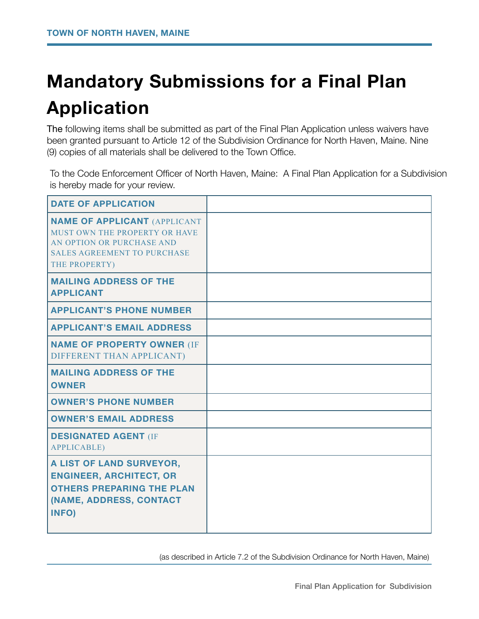## **Mandatory Submissions for a Final Plan Application**

The following items shall be submitted as part of the Final Plan Application unless waivers have been granted pursuant to Article 12 of the Subdivision Ordinance for North Haven, Maine. Nine (9) copies of all materials shall be delivered to the Town Office.

To the Code Enforcement Officer of North Haven, Maine: A Final Plan Application for a Subdivision is hereby made for your review.

| <b>DATE OF APPLICATION</b>                                                                                                                               |  |
|----------------------------------------------------------------------------------------------------------------------------------------------------------|--|
| <b>NAME OF APPLICANT (APPLICANT</b><br>MUST OWN THE PROPERTY OR HAVE<br>AN OPTION OR PURCHASE AND<br><b>SALES AGREEMENT TO PURCHASE</b><br>THE PROPERTY) |  |
| <b>MAILING ADDRESS OF THE</b><br><b>APPLICANT</b>                                                                                                        |  |
| <b>APPLICANT'S PHONE NUMBER</b>                                                                                                                          |  |
| <b>APPLICANT'S EMAIL ADDRESS</b>                                                                                                                         |  |
| <b>NAME OF PROPERTY OWNER (IF</b><br>DIFFERENT THAN APPLICANT)                                                                                           |  |
| <b>MAILING ADDRESS OF THE</b><br><b>OWNER</b>                                                                                                            |  |
| <b>OWNER'S PHONE NUMBER</b>                                                                                                                              |  |
| <b>OWNER'S EMAIL ADDRESS</b>                                                                                                                             |  |
| <b>DESIGNATED AGENT (IF</b><br><b>APPLICABLE)</b>                                                                                                        |  |
| A LIST OF LAND SURVEYOR,<br><b>ENGINEER, ARCHITECT, OR</b><br><b>OTHERS PREPARING THE PLAN</b><br>(NAME, ADDRESS, CONTACT<br>INFO)                       |  |

 (as described in Article 7.2 of the Subdivision Ordinance for North Haven, Maine)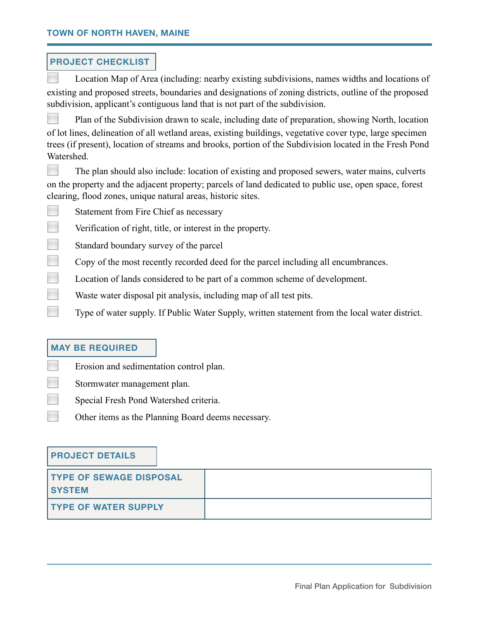#### **PROJECT CHECKLIST**

◻ Location Map of Area (including: nearby existing subdivisions, names widths and locations of existing and proposed streets, boundaries and designations of zoning districts, outline of the proposed subdivision, applicant's contiguous land that is not part of the subdivision.

**Plan of the Subdivision drawn to scale, including date of preparation, showing North, location** of lot lines, delineation of all wetland areas, existing buildings, vegetative cover type, large specimen trees (if present), location of streams and brooks, portion of the Subdivision located in the Fresh Pond Watershed.

The plan should also include: location of existing and proposed sewers, water mains, culverts on the property and the adjacent property; parcels of land dedicated to public use, open space, forest clearing, flood zones, unique natural areas, historic sites.

Statement from Fire Chief as necessary

**Exercise 1** Verification of right, title, or interest in the property.

Standard boundary survey of the parcel

Copy of the most recently recorded deed for the parcel including all encumbrances.

**□** Location of lands considered to be part of a common scheme of development.

**Waste water disposal pit analysis, including map of all test pits.** 

■ Type of water supply. If Public Water Supply, written statement from the local water district.

### **MAY BE REQUIRED**

**Example 1** Erosion and sedimentation control plan.

Stormwater management plan.

◻ Special Fresh Pond Watershed criteria.

**Other items as the Planning Board deems necessary.** 

#### **PROJECT DETAILS**

| <b>TYPE OF SEWAGE DISPOSAL</b><br><b>SYSTEM</b> |  |
|-------------------------------------------------|--|
| <b>TYPE OF WATER SUPPLY</b>                     |  |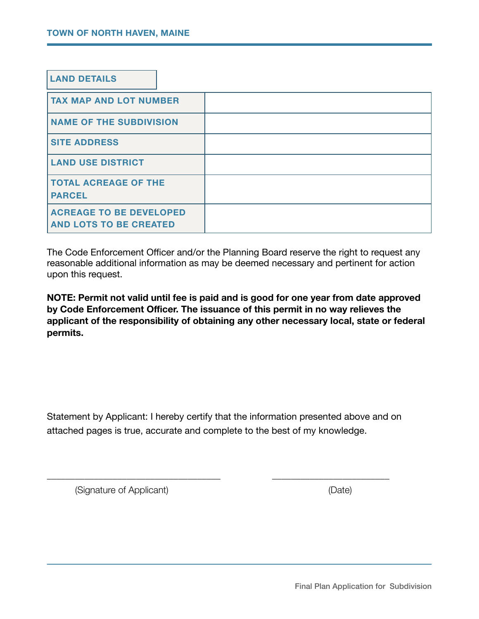| <b>LAND DETAILS</b>                                             |  |
|-----------------------------------------------------------------|--|
| <b>TAX MAP AND LOT NUMBER</b>                                   |  |
| <b>NAME OF THE SUBDIVISION</b>                                  |  |
| <b>SITE ADDRESS</b>                                             |  |
| <b>LAND USE DISTRICT</b>                                        |  |
| <b>TOTAL ACREAGE OF THE</b><br><b>PARCEL</b>                    |  |
| <b>ACREAGE TO BE DEVELOPED</b><br><b>AND LOTS TO BE CREATED</b> |  |

The Code Enforcement Officer and/or the Planning Board reserve the right to request any reasonable additional information as may be deemed necessary and pertinent for action upon this request.

**NOTE: Permit not valid until fee is paid and is good for one year from date approved by Code Enforcement Officer. The issuance of this permit in no way relieves the applicant of the responsibility of obtaining any other necessary local, state or federal permits.** 

Statement by Applicant: I hereby certify that the information presented above and on attached pages is true, accurate and complete to the best of my knowledge.

\_\_\_\_\_\_\_\_\_\_\_\_\_\_\_\_\_\_\_\_\_\_\_\_\_\_\_\_\_\_\_\_\_\_\_\_\_ \_\_\_\_\_\_\_\_\_\_\_\_\_\_\_\_\_\_\_\_\_\_\_\_\_

(Signature of Applicant) (Date)